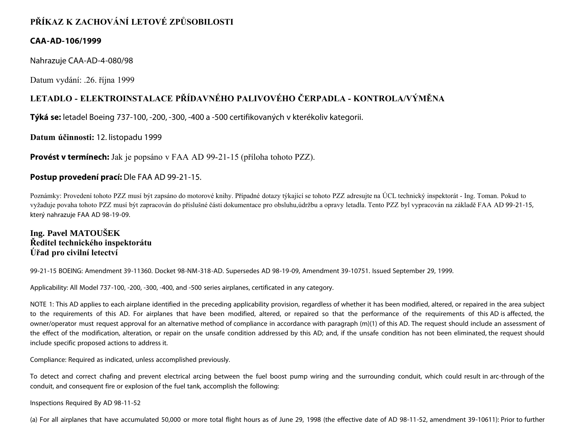# **PŘÍKAZ K ZACHOVÁNÍ LETOVÉ ZPŮSOBILOSTI**

# **CAA-AD-106/1999**

Nahrazuje CAA-AD-4-080/98

Datum vydání: .26. října 1999

# **LETADLO - ELEKTROINSTALACE PŘÍDAVNÉHO PALIVOVÉHO ČERPADLA - KONTROLA/VÝMĚNA**

**Týká se:** letadel Boeing 737-100, -200, -300, -400 a -500 certifikovaných v kterékoliv kategorii.

**Datum účinnosti:** 12. listopadu 1999

**Provést v termínech:** Jak je popsáno v FAA AD 99-21-15 (příloha tohoto PZZ).

# **Postup provedení prací:** Dle FAA AD 99-21-15.

Poznámky: Provedení tohoto PZZ musí být zapsáno do motorové knihy. Případné dotazy týkající se tohoto PZZ adresujte na ÚCL technický inspektorát - Ing. Toman. Pokud to vyžaduje povaha tohoto PZZ musí být zapracován do příslušné části dokumentace pro obsluhu,údržbu a opravy letadla. Tento PZZ byl vypracován na základě FAA AD 99-21-15, který nahrazuje FAA AD 98-19-09.

**Ing. Pavel MATOUŠEK Ředitel technického inspektorátu Úřad pro civilní letectví**

99-21-15 BOEING: Amendment 39-11360. Docket 98-NM-318-AD. Supersedes AD 98-19-09, Amendment 39-10751. Issued September 29, 1999.

Applicability: All Model 737-100, -200, -300, -400, and -500 series airplanes, certificated in any category.

NOTE 1: This AD applies to each airplane identified in the preceding applicability provision, regardless of whether it has been modified, altered, or repaired in the area subject to the requirements of this AD. For airplanes that have been modified, altered, or repaired so that the performance of the requirements of this AD is affected, the owner/operator must request approval for an alternative method of compliance in accordance with paragraph (m)(1) of this AD. The request should include an assessment of the effect of the modification, alteration, or repair on the unsafe condition addressed by this AD; and, if the unsafe condition has not been eliminated, the request should include specific proposed actions to address it.

Compliance: Required as indicated, unless accomplished previously.

To detect and correct chafing and prevent electrical arcing between the fuel boost pump wiring and the surrounding conduit, which could result in arc-through of the conduit, and consequent fire or explosion of the fuel tank, accomplish the following:

Inspections Required By AD 98-11-52

(a) For all airplanes that have accumulated 50,000 or more total flight hours as of June 29, 1998 (the effective date of AD 98-11-52, amendment 39-10611): Prior to further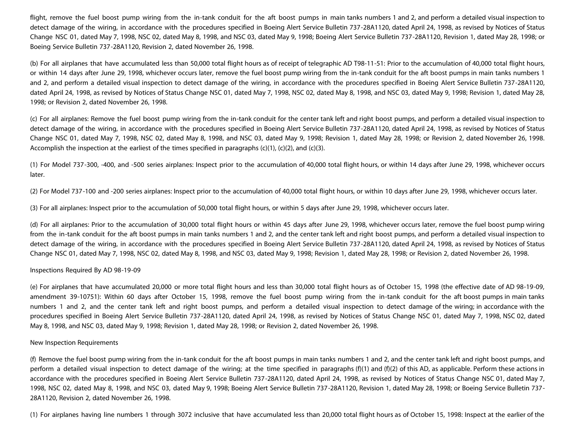flight, remove the fuel boost pump wiring from the in-tank conduit for the aft boost pumps in main tanks numbers 1 and 2, and perform a detailed visual inspection to detect damage of the wiring, in accordance with the procedures specified in Boeing Alert Service Bulletin 737-28A1120, dated April 24, 1998, as revised by Notices of Status Change NSC 01, dated May 7, 1998, NSC 02, dated May 8, 1998, and NSC 03, dated May 9, 1998; Boeing Alert Service Bulletin 737-28A1120, Revision 1, dated May 28, 1998; or Boeing Service Bulletin 737-28A1120, Revision 2, dated November 26, 1998.

(b) For all airplanes that have accumulated less than 50,000 total flight hours as of receipt of telegraphic AD T98-11-51: Prior to the accumulation of 40,000 total flight hours, or within 14 days after June 29, 1998, whichever occurs later, remove the fuel boost pump wiring from the in-tank conduit for the aft boost pumps in main tanks numbers 1 and 2, and perform a detailed visual inspection to detect damage of the wiring, in accordance with the procedures specified in Boeing Alert Service Bulletin 737-28A1120, dated April 24, 1998, as revised by Notices of Status Change NSC 01, dated May 7, 1998, NSC 02, dated May 8, 1998, and NSC 03, dated May 9, 1998; Revision 1, dated May 28, 1998; or Revision 2, dated November 26, 1998.

(c) For all airplanes: Remove the fuel boost pump wiring from the in-tank conduit for the center tank left and right boost pumps, and perform a detailed visual inspection to detect damage of the wiring, in accordance with the procedures specified in Boeing Alert Service Bulletin 737-28A1120, dated April 24, 1998, as revised by Notices of Status Change NSC 01, dated May 7, 1998, NSC 02, dated May 8, 1998, and NSC 03, dated May 9, 1998; Revision 1, dated May 28, 1998; or Revision 2, dated November 26, 1998. Accomplish the inspection at the earliest of the times specified in paragraphs  $(c)(1)$ ,  $(c)(2)$ , and  $(c)(3)$ .

(1) For Model 737-300, -400, and -500 series airplanes: Inspect prior to the accumulation of 40,000 total flight hours, or within 14 days after June 29, 1998, whichever occurs later.

(2) For Model 737-100 and -200 series airplanes: Inspect prior to the accumulation of 40,000 total flight hours, or within 10 days after June 29, 1998, whichever occurs later.

(3) For all airplanes: Inspect prior to the accumulation of 50,000 total flight hours, or within 5 days after June 29, 1998, whichever occurs later.

(d) For all airplanes: Prior to the accumulation of 30,000 total flight hours or within 45 days after June 29, 1998, whichever occurs later, remove the fuel boost pump wiring from the in-tank conduit for the aft boost pumps in main tanks numbers 1 and 2, and the center tank left and right boost pumps, and perform a detailed visual inspection to detect damage of the wiring, in accordance with the procedures specified in Boeing Alert Service Bulletin 737-28A1120, dated April 24, 1998, as revised by Notices of Status Change NSC 01, dated May 7, 1998, NSC 02, dated May 8, 1998, and NSC 03, dated May 9, 1998; Revision 1, dated May 28, 1998; or Revision 2, dated November 26, 1998.

## Inspections Required By AD 98-19-09

(e) For airplanes that have accumulated 20,000 or more total flight hours and less than 30,000 total flight hours as of October 15, 1998 (the effective date of AD 98-19-09, amendment 39-10751): Within 60 days after October 15, 1998, remove the fuel boost pump wiring from the in-tank conduit for the aft boost pumps in main tanks numbers 1 and 2, and the center tank left and right boost pumps, and perform a detailed visual inspection to detect damage of the wiring; in accordance with the procedures specified in Boeing Alert Service Bulletin 737-28A1120, dated April 24, 1998, as revised by Notices of Status Change NSC 01, dated May 7, 1998, NSC 02, dated May 8, 1998, and NSC 03, dated May 9, 1998; Revision 1, dated May 28, 1998; or Revision 2, dated November 26, 1998.

#### New Inspection Requirements

(f) Remove the fuel boost pump wiring from the in-tank conduit for the aft boost pumps in main tanks numbers 1 and 2, and the center tank left and right boost pumps, and perform a detailed visual inspection to detect damage of the wiring; at the time specified in paragraphs (f)(1) and (f)(2) of this AD, as applicable. Perform these actions in accordance with the procedures specified in Boeing Alert Service Bulletin 737-28A1120, dated April 24, 1998, as revised by Notices of Status Change NSC 01, dated May 7, 1998, NSC 02, dated May 8, 1998, and NSC 03, dated May 9, 1998; Boeing Alert Service Bulletin 737-28A1120, Revision 1, dated May 28, 1998; or Boeing Service Bulletin 737- 28A1120, Revision 2, dated November 26, 1998.

(1) For airplanes having line numbers 1 through 3072 inclusive that have accumulated less than 20,000 total flight hours as of October 15, 1998: Inspect at the earlier of the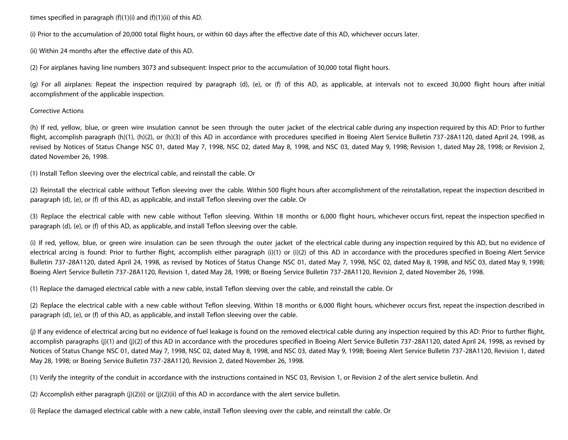times specified in paragraph  $(f)(1)(i)$  and  $(f)(1)(ii)$  of this AD.

(i) Prior to the accumulation of 20,000 total flight hours, or within 60 days after the effective date of this AD, whichever occurs later.

(ii) Within 24 months after the effective date of this AD.

(2) For airplanes having line numbers 3073 and subsequent: Inspect prior to the accumulation of 30,000 total flight hours.

(g) For all airplanes: Repeat the inspection required by paragraph (d), (e), or (f) of this AD, as applicable, at intervals not to exceed 30,000 flight hours after initial accomplishment of the applicable inspection.

## Corrective Actions

(h) If red, yellow, blue, or green wire insulation cannot be seen through the outer jacket of the electrical cable during any inspection required by this AD: Prior to further flight, accomplish paragraph (h)(1), (h)(2), or (h)(3) of this AD in accordance with procedures specified in Boeing Alert Service Bulletin 737-28A1120, dated April 24, 1998, as revised by Notices of Status Change NSC 01, dated May 7, 1998, NSC 02, dated May 8, 1998, and NSC 03, dated May 9, 1998; Revision 1, dated May 28, 1998; or Revision 2, dated November 26, 1998.

(1) Install Teflon sleeving over the electrical cable, and reinstall the cable. Or

(2) Reinstall the electrical cable without Teflon sleeving over the cable. Within 500 flight hours after accomplishment of the reinstallation, repeat the inspection described in paragraph (d), (e), or (f) of this AD, as applicable, and install Teflon sleeving over the cable. Or

(3) Replace the electrical cable with new cable without Teflon sleeving. Within 18 months or 6,000 flight hours, whichever occurs first, repeat the inspection specified in paragraph (d), (e), or (f) of this AD, as applicable, and install Teflon sleeving over the cable.

(i) If red, yellow, blue, or green wire insulation can be seen through the outer jacket of the electrical cable during any inspection required by this AD, but no evidence of electrical arcing is found: Prior to further flight, accomplish either paragraph (i)(1) or (i)(2) of this AD in accordance with the procedures specified in Boeing Alert Service Bulletin 737-28A1120, dated April 24, 1998, as revised by Notices of Status Change NSC 01, dated May 7, 1998, NSC 02, dated May 8, 1998, and NSC 03, dated May 9, 1998; Boeing Alert Service Bulletin 737-28A1120, Revision 1, dated May 28, 1998; or Boeing Service Bulletin 737-28A1120, Revision 2, dated November 26, 1998.

(1) Replace the damaged electrical cable with a new cable, install Teflon sleeving over the cable, and reinstall the cable. Or

(2) Replace the electrical cable with a new cable without Teflon sleeving. Within 18 months or 6,000 flight hours, whichever occurs first, repeat the inspection described in paragraph (d), (e), or (f) of this AD, as applicable, and install Teflon sleeving over the cable.

(j) If any evidence of electrical arcing but no evidence of fuel leakage is found on the removed electrical cable during any inspection required by this AD: Prior to further flight, accomplish paragraphs (j)(1) and (j)(2) of this AD in accordance with the procedures specified in Boeing Alert Service Bulletin 737-28A1120, dated April 24, 1998, as revised by Notices of Status Change NSC 01, dated May 7, 1998, NSC 02, dated May 8, 1998, and NSC 03, dated May 9, 1998; Boeing Alert Service Bulletin 737-28A1120, Revision 1, dated May 28, 1998; or Boeing Service Bulletin 737-28A1120, Revision 2, dated November 26, 1998.

(1) Verify the integrity of the conduit in accordance with the instructions contained in NSC 03, Revision 1, or Revision 2 of the alert service bulletin. And

(2) Accomplish either paragraph (j)(2)(i) or (j)(2)(ii) of this AD in accordance with the alert service bulletin.

(i) Replace the damaged electrical cable with a new cable, install Teflon sleeving over the cable, and reinstall the cable. Or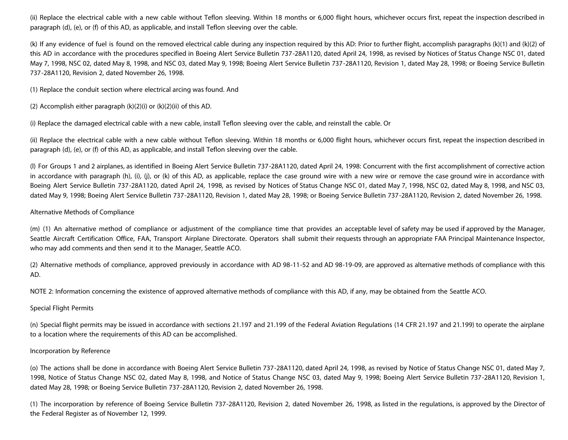(ii) Replace the electrical cable with a new cable without Teflon sleeving. Within 18 months or 6,000 flight hours, whichever occurs first, repeat the inspection described in paragraph (d), (e), or (f) of this AD, as applicable, and install Teflon sleeving over the cable.

(k) If any evidence of fuel is found on the removed electrical cable during any inspection required by this AD: Prior to further flight, accomplish paragraphs (k)(1) and (k)(2) of this AD in accordance with the procedures specified in Boeing Alert Service Bulletin 737-28A1120, dated April 24, 1998, as revised by Notices of Status Change NSC 01, dated May 7, 1998, NSC 02, dated May 8, 1998, and NSC 03, dated May 9, 1998; Boeing Alert Service Bulletin 737-28A1120, Revision 1, dated May 28, 1998; or Boeing Service Bulletin 737-28A1120, Revision 2, dated November 26, 1998.

(1) Replace the conduit section where electrical arcing was found. And

(2) Accomplish either paragraph (k)(2)(i) or (k)(2)(ii) of this AD.

(i) Replace the damaged electrical cable with a new cable, install Teflon sleeving over the cable, and reinstall the cable. Or

(ii) Replace the electrical cable with a new cable without Teflon sleeving. Within 18 months or 6,000 flight hours, whichever occurs first, repeat the inspection described in paragraph (d), (e), or (f) of this AD, as applicable, and install Teflon sleeving over the cable.

(l) For Groups 1 and 2 airplanes, as identified in Boeing Alert Service Bulletin 737-28A1120, dated April 24, 1998: Concurrent with the first accomplishment of corrective action in accordance with paragraph (h), (i), (j), or (k) of this AD, as applicable, replace the case ground wire with a new wire or remove the case ground wire in accordance with Boeing Alert Service Bulletin 737-28A1120, dated April 24, 1998, as revised by Notices of Status Change NSC 01, dated May 7, 1998, NSC 02, dated May 8, 1998, and NSC 03, dated May 9, 1998; Boeing Alert Service Bulletin 737-28A1120, Revision 1, dated May 28, 1998; or Boeing Service Bulletin 737-28A1120, Revision 2, dated November 26, 1998.

### Alternative Methods of Compliance

(m) (1) An alternative method of compliance or adjustment of the compliance time that provides an acceptable level of safety may be used if approved by the Manager, Seattle Aircraft Certification Office, FAA, Transport Airplane Directorate. Operators shall submit their requests through an appropriate FAA Principal Maintenance Inspector, who may add comments and then send it to the Manager, Seattle ACO.

(2) Alternative methods of compliance, approved previously in accordance with AD 98-11-52 and AD 98-19-09, are approved as alternative methods of compliance with this AD.

NOTE 2: Information concerning the existence of approved alternative methods of compliance with this AD, if any, may be obtained from the Seattle ACO.

## Special Flight Permits

(n) Special flight permits may be issued in accordance with sections 21.197 and 21.199 of the Federal Aviation Regulations (14 CFR 21.197 and 21.199) to operate the airplane to a location where the requirements of this AD can be accomplished.

#### Incorporation by Reference

(o) The actions shall be done in accordance with Boeing Alert Service Bulletin 737-28A1120, dated April 24, 1998, as revised by Notice of Status Change NSC 01, dated May 7, 1998, Notice of Status Change NSC 02, dated May 8, 1998, and Notice of Status Change NSC 03, dated May 9, 1998; Boeing Alert Service Bulletin 737-28A1120, Revision 1, dated May 28, 1998; or Boeing Service Bulletin 737-28A1120, Revision 2, dated November 26, 1998.

(1) The incorporation by reference of Boeing Service Bulletin 737-28A1120, Revision 2, dated November 26, 1998, as listed in the regulations, is approved by the Director of the Federal Register as of November 12, 1999.